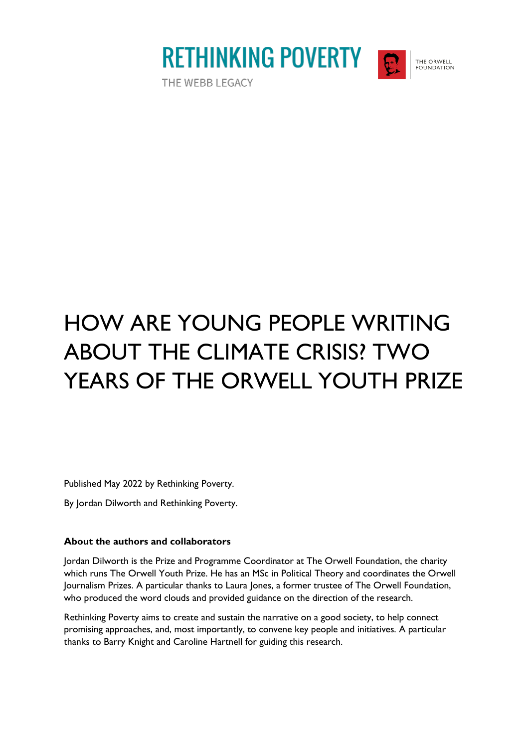

THE ORWELL FOUNDATION



Published May 2022 by Rethinking Poverty.

By Jordan Dilworth and Rethinking Poverty.

#### **About the authors and collaborators**

Jordan Dilworth is the Prize and Programme Coordinator at The Orwell Foundation, the charity which runs The Orwell Youth Prize. He has an MSc in Political Theory and coordinates the Orwell Journalism Prizes. A particular thanks to Laura Jones, a former trustee of The Orwell Foundation, who produced the word clouds and provided guidance on the direction of the research.

Rethinking Poverty aims to create and sustain the narrative on a good society, to help connect promising approaches, and, most importantly, to convene key people and initiatives. A particular thanks to Barry Knight and Caroline Hartnell for guiding this research.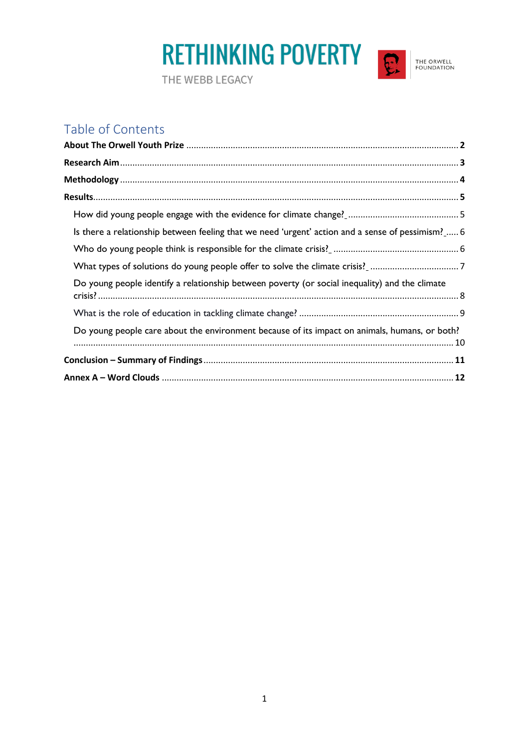

### Table of Contents

| Is there a relationship between feeling that we need 'urgent' action and a sense of pessimism?  6 |  |
|---------------------------------------------------------------------------------------------------|--|
|                                                                                                   |  |
|                                                                                                   |  |
| Do young people identify a relationship between poverty (or social inequality) and the climate    |  |
|                                                                                                   |  |
| Do young people care about the environment because of its impact on animals, humans, or both?     |  |
|                                                                                                   |  |
|                                                                                                   |  |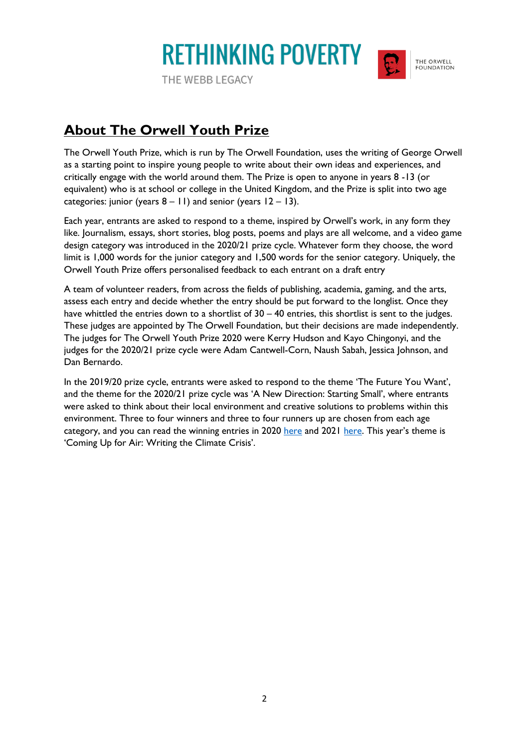**RETHINKING POVERTY** THE WEBB LEGACY

THE ORWELL FOUNDATION

### **About The Orwell Youth Prize**

The Orwell Youth Prize, which is run by The Orwell Foundation, uses the writing of George Orwell as a starting point to inspire young people to write about their own ideas and experiences, and critically engage with the world around them. The Prize is open to anyone in years 8 -13 (or equivalent) who is at school or college in the United Kingdom, and the Prize is split into two age categories: junior (years  $8 - 11$ ) and senior (years  $12 - 13$ ).

Each year, entrants are asked to respond to a theme, inspired by Orwell's work, in any form they like. Journalism, essays, short stories, blog posts, poems and plays are all welcome, and a video game design category was introduced in the 2020/21 prize cycle. Whatever form they choose, the word limit is 1,000 words for the junior category and 1,500 words for the senior category. Uniquely, the Orwell Youth Prize offers personalised feedback to each entrant on a draft entry

A team of volunteer readers, from across the fields of publishing, academia, gaming, and the arts, assess each entry and decide whether the entry should be put forward to the longlist. Once they have whittled the entries down to a shortlist of  $30 - 40$  entries, this shortlist is sent to the judges. These judges are appointed by The Orwell Foundation, but their decisions are made independently. The judges for The Orwell Youth Prize 2020 were Kerry Hudson and Kayo Chingonyi, and the judges for the 2020/21 prize cycle were Adam Cantwell-Corn, Naush Sabah, Jessica Johnson, and Dan Bernardo.

In the 2019/20 prize cycle, entrants were asked to respond to the theme 'The Future You Want', and the theme for the 2020/21 prize cycle was 'A New Direction: Starting Small', where entrants were asked to think about their local environment and creative solutions to problems within this environment. Three to four winners and three to four runners up are chosen from each age category, and you can read the winning entries in 2020 [here](https://www.orwellfoundation.com/the-orwell-youth-prize/2018-youth-prize/winners-the-orwell-youth-prize-2021/senior-runners-up-2021/mending-the-safety-net/) and 2021 here. This year's theme is 'Coming Up for Air: Writing the Climate Crisis'.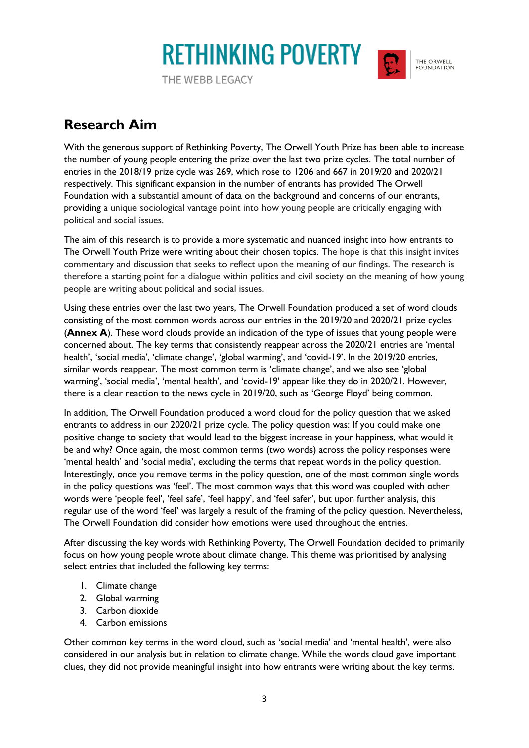**RETHINKING POVERTY** THE WEBB LEGACY



THE ORWELL FOUNDATION

**Research Aim**

With the generous support of Rethinking Poverty, The Orwell Youth Prize has been able to increase the number of young people entering the prize over the last two prize cycles. The total number of entries in the 2018/19 prize cycle was 269, which rose to 1206 and 667 in 2019/20 and 2020/21 respectively. This significant expansion in the number of entrants has provided The Orwell Foundation with a substantial amount of data on the background and concerns of our entrants, providing a unique sociological vantage point into how young people are critically engaging with political and social issues.

The aim of this research is to provide a more systematic and nuanced insight into how entrants to The Orwell Youth Prize were writing about their chosen topics. The hope is that this insight invites commentary and discussion that seeks to reflect upon the meaning of our findings. The research is therefore a starting point for a dialogue within politics and civil society on the meaning of how young people are writing about political and social issues.

Using these entries over the last two years, The Orwell Foundation produced a set of word clouds consisting of the most common words across our entries in the 2019/20 and 2020/21 prize cycles (**Annex A**). These word clouds provide an indication of the type of issues that young people were concerned about. The key terms that consistently reappear across the 2020/21 entries are 'mental health', 'social media', 'climate change', 'global warming', and 'covid-19'. In the 2019/20 entries, similar words reappear. The most common term is 'climate change', and we also see 'global warming', 'social media', 'mental health', and 'covid-19' appear like they do in 2020/21. However, there is a clear reaction to the news cycle in 2019/20, such as 'George Floyd' being common.

In addition, The Orwell Foundation produced a word cloud for the policy question that we asked entrants to address in our 2020/21 prize cycle. The policy question was: If you could make one positive change to society that would lead to the biggest increase in your happiness, what would it be and why? Once again, the most common terms (two words) across the policy responses were 'mental health' and 'social media', excluding the terms that repeat words in the policy question. Interestingly, once you remove terms in the policy question, one of the most common single words in the policy questions was 'feel'. The most common ways that this word was coupled with other words were 'people feel', 'feel safe', 'feel happy', and 'feel safer', but upon further analysis, this regular use of the word 'feel' was largely a result of the framing of the policy question. Nevertheless, The Orwell Foundation did consider how emotions were used throughout the entries.

After discussing the key words with Rethinking Poverty, The Orwell Foundation decided to primarily focus on how young people wrote about climate change. This theme was prioritised by analysing select entries that included the following key terms:

- 1. Climate change
- 2. Global warming
- 3. Carbon dioxide
- 4. Carbon emissions

Other common key terms in the word cloud, such as 'social media' and 'mental health', were also considered in our analysis but in relation to climate change. While the words cloud gave important clues, they did not provide meaningful insight into how entrants were writing about the key terms.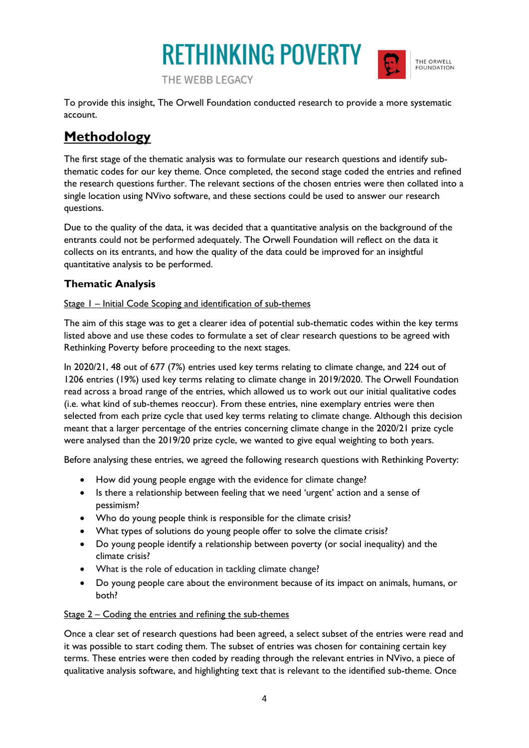



To provide this insight, The Orwell Foundation conducted research to provide a more systematic account.

### **Methodology**

The first stage of the thematic analysis was to formulate our research questions and identify subthematic codes for our key theme. Once completed, the second stage coded the entries and refined the research questions further. The relevant sections of the chosen entries were then collated into a single location using NVivo software, and these sections could be used to answer our research questions.

Due to the quality of the data, it was decided that a quantitative analysis on the background of the entrants could not be performed adequately. The Orwell Foundation will reflect on the data it collects on its entrants, and how the quality of the data could be improved for an insightful quantitative analysis to be performed.

### **Thematic Analysis**

#### Stage I – Initial Code Scoping and identification of sub-themes

The aim of this stage was to get a clearer idea of potential sub-thematic codes within the key terms listed above and use these codes to formulate a set of clear research questions to be agreed with Rethinking Poverty before proceeding to the next stages.

In 2020/21, 48 out of 677 (7%) entries used key terms relating to climate change, and 224 out of 1206 entries (19%) used key terms relating to climate change in 2019/2020. The Orwell Foundation read across a broad range of the entries, which allowed us to work out our initial qualitative codes (i.e. what kind of sub-themes reoccur). From these entries, nine exemplary entries were then selected from each prize cycle that used key terms relating to climate change. Although this decision meant that a larger percentage of the entries concerning climate change in the 2020/21 prize cycle were analysed than the 2019/20 prize cycle, we wanted to give equal weighting to both years.

Before analysing these entries, we agreed the following research questions with Rethinking Poverty:

- How did young people engage with the evidence for climate change?
- Is there a relationship between feeling that we need 'urgent' action and a sense of pessimism?
- Who do young people think is responsible for the climate crisis?
- What types of solutions do young people offer to solve the climate crisis?
- Do young people identify a relationship between poverty (or social inequality) and the climate crisis?
- What is the role of education in tackling climate change?
- Do young people care about the environment because of its impact on animals, humans, or both?

### Stage 2 – Coding the entries and refining the sub-themes

Once a clear set of research questions had been agreed, a select subset of the entries were read and it was possible to start coding them. The subset of entries was chosen for containing certain key terms. These entries were then coded by reading through the relevant entries in NVivo, a piece of qualitative analysis software, and highlighting text that is relevant to the identified sub-theme. Once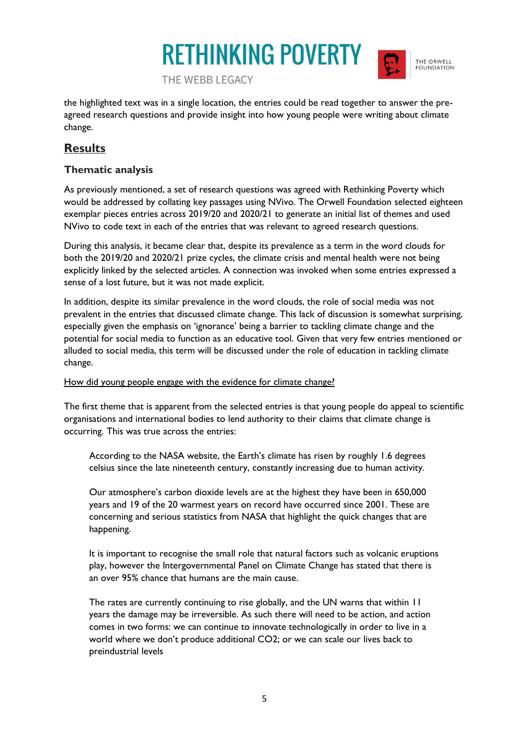

THE ORWELL FOUNDATION

THE WEBB LEGACY

the highlighted text was in a single location, the entries could be read together to answer the preagreed research questions and provide insight into how young people were writing about climate change.

### **Results**

### **Thematic analysis**

As previously mentioned, a set of research questions was agreed with Rethinking Poverty which would be addressed by collating key passages using NVivo. The Orwell Foundation selected eighteen exemplar pieces entries across 2019/20 and 2020/21 to generate an initial list of themes and used NVivo to code text in each of the entries that was relevant to agreed research questions.

During this analysis, it became clear that, despite its prevalence as a term in the word clouds for both the 2019/20 and 2020/21 prize cycles, the climate crisis and mental health were not being explicitly linked by the selected articles. A connection was invoked when some entries expressed a sense of a lost future, but it was not made explicit.

In addition, despite its similar prevalence in the word clouds, the role of social media was not prevalent in the entries that discussed climate change. This lack of discussion is somewhat surprising, especially given the emphasis on 'ignorance' being a barrier to tackling climate change and the potential for social media to function as an educative tool. Given that very few entries mentioned or alluded to social media, this term will be discussed under the role of education in tackling climate change.

#### How did young people engage with the evidence for climate change?

The first theme that is apparent from the selected entries is that young people do appeal to scientific organisations and international bodies to lend authority to their claims that climate change is occurring. This was true across the entries:

According to the NASA website, the Earth's climate has risen by roughly 1.6 degrees celsius since the late nineteenth century, constantly increasing due to human activity.

Our atmosphere's carbon dioxide levels are at the highest they have been in 650,000 years and 19 of the 20 warmest years on record have occurred since 2001. These are concerning and serious statistics from NASA that highlight the quick changes that are happening.

It is important to recognise the small role that natural factors such as volcanic eruptions play, however the Intergovernmental Panel on Climate Change has stated that there is an over 95% chance that humans are the main cause.

The rates are currently continuing to rise globally, and the UN warns that within 11 years the damage may be irreversible. As such there will need to be action, and action comes in two forms: we can continue to innovate technologically in order to live in a world where we don't produce additional CO2; or we can scale our lives back to preindustrial levels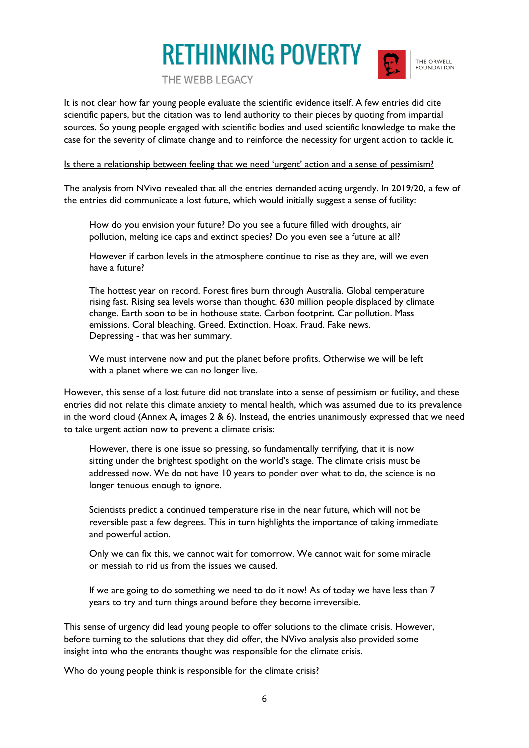

THE ORWELL FOUNDATION

THE WEBB LEGACY

It is not clear how far young people evaluate the scientific evidence itself. A few entries did cite scientific papers, but the citation was to lend authority to their pieces by quoting from impartial sources. So young people engaged with scientific bodies and used scientific knowledge to make the case for the severity of climate change and to reinforce the necessity for urgent action to tackle it.

#### Is there a relationship between feeling that we need 'urgent' action and a sense of pessimism?

The analysis from NVivo revealed that all the entries demanded acting urgently. In 2019/20, a few of the entries did communicate a lost future, which would initially suggest a sense of futility:

How do you envision your future? Do you see a future filled with droughts, air pollution, melting ice caps and extinct species? Do you even see a future at all?

However if carbon levels in the atmosphere continue to rise as they are, will we even have a future?

The hottest year on record. Forest fires burn through Australia. Global temperature rising fast. Rising sea levels worse than thought. 630 million people displaced by climate change. Earth soon to be in hothouse state. Carbon footprint. Car pollution. Mass emissions. Coral bleaching. Greed. Extinction. Hoax. Fraud. Fake news. Depressing - that was her summary.

We must intervene now and put the planet before profits. Otherwise we will be left with a planet where we can no longer live.

However, this sense of a lost future did not translate into a sense of pessimism or futility, and these entries did not relate this climate anxiety to mental health, which was assumed due to its prevalence in the word cloud (Annex A, images 2 & 6). Instead, the entries unanimously expressed that we need to take urgent action now to prevent a climate crisis:

However, there is one issue so pressing, so fundamentally terrifying, that it is now sitting under the brightest spotlight on the world's stage. The climate crisis must be addressed now. We do not have 10 years to ponder over what to do, the science is no longer tenuous enough to ignore.

Scientists predict a continued temperature rise in the near future, which will not be reversible past a few degrees. This in turn highlights the importance of taking immediate and powerful action.

Only we can fix this, we cannot wait for tomorrow. We cannot wait for some miracle or messiah to rid us from the issues we caused.

If we are going to do something we need to do it now! As of today we have less than 7 years to try and turn things around before they become irreversible.

This sense of urgency did lead young people to offer solutions to the climate crisis. However, before turning to the solutions that they did offer, the NVivo analysis also provided some insight into who the entrants thought was responsible for the climate crisis.

Who do young people think is responsible for the climate crisis?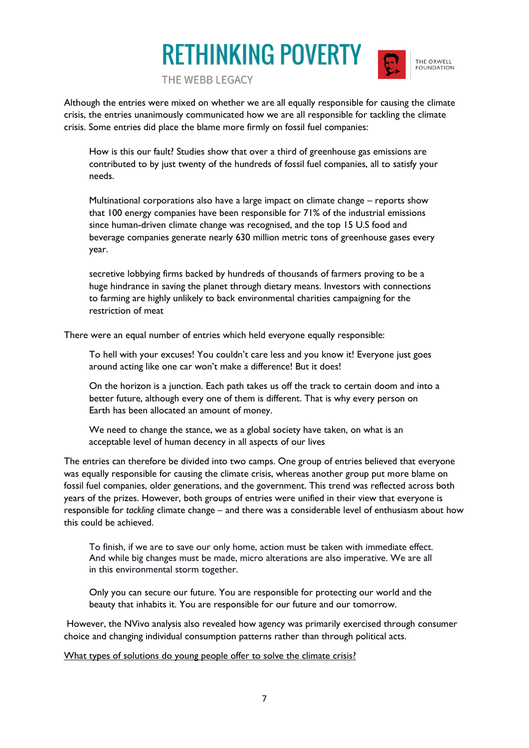

THE ORWELL FOUNDATION

THE WEBB LEGACY

Although the entries were mixed on whether we are all equally responsible for causing the climate crisis, the entries unanimously communicated how we are all responsible for tackling the climate crisis. Some entries did place the blame more firmly on fossil fuel companies:

How is this our fault? Studies show that over a third of greenhouse gas emissions are contributed to by just twenty of the hundreds of fossil fuel companies, all to satisfy your needs.

Multinational corporations also have a large impact on climate change – reports show that 100 energy companies have been responsible for 71% of the industrial emissions since human-driven climate change was recognised, and the top 15 U.S food and beverage companies generate nearly 630 million metric tons of greenhouse gases every year.

secretive lobbying firms backed by hundreds of thousands of farmers proving to be a huge hindrance in saving the planet through dietary means. Investors with connections to farming are highly unlikely to back environmental charities campaigning for the restriction of meat

There were an equal number of entries which held everyone equally responsible:

To hell with your excuses! You couldn't care less and you know it! Everyone just goes around acting like one car won't make a difference! But it does!

On the horizon is a junction. Each path takes us off the track to certain doom and into a better future, although every one of them is different. That is why every person on Earth has been allocated an amount of money.

We need to change the stance, we as a global society have taken, on what is an acceptable level of human decency in all aspects of our lives

The entries can therefore be divided into two camps. One group of entries believed that everyone was equally responsible for causing the climate crisis, whereas another group put more blame on fossil fuel companies, older generations, and the government. This trend was reflected across both years of the prizes. However, both groups of entries were unified in their view that everyone is responsible for *tackling* climate change – and there was a considerable level of enthusiasm about how this could be achieved.

To finish, if we are to save our only home, action must be taken with immediate effect. And while big changes must be made, micro alterations are also imperative. We are all in this environmental storm together.

Only you can secure our future. You are responsible for protecting our world and the beauty that inhabits it. You are responsible for our future and our tomorrow.

However, the NVivo analysis also revealed how agency was primarily exercised through consumer choice and changing individual consumption patterns rather than through political acts.

What types of solutions do young people offer to solve the climate crisis?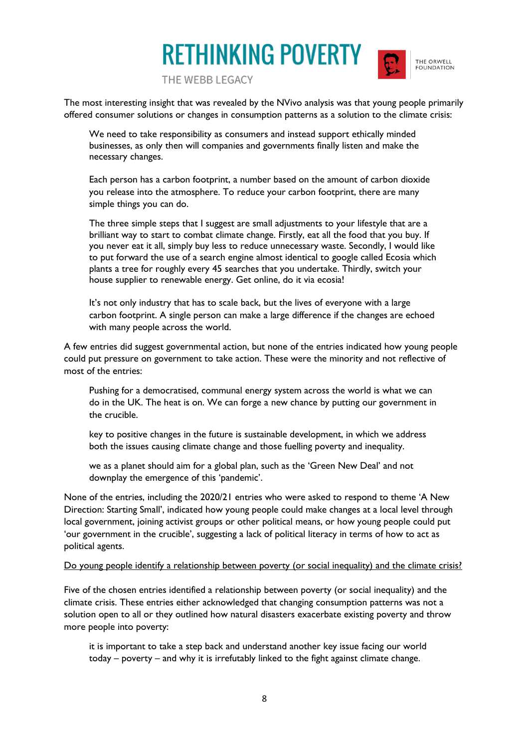

THE ORWELL FOUNDATION

THE WEBB LEGACY

The most interesting insight that was revealed by the NVivo analysis was that young people primarily offered consumer solutions or changes in consumption patterns as a solution to the climate crisis:

We need to take responsibility as consumers and instead support ethically minded businesses, as only then will companies and governments finally listen and make the necessary changes.

Each person has a carbon footprint, a number based on the amount of carbon dioxide you release into the atmosphere. To reduce your carbon footprint, there are many simple things you can do.

The three simple steps that I suggest are small adjustments to your lifestyle that are a brilliant way to start to combat climate change. Firstly, eat all the food that you buy. If you never eat it all, simply buy less to reduce unnecessary waste. Secondly, I would like to put forward the use of a search engine almost identical to google called Ecosia which plants a tree for roughly every 45 searches that you undertake. Thirdly, switch your house supplier to renewable energy. Get online, do it via ecosia!

It's not only industry that has to scale back, but the lives of everyone with a large carbon footprint. A single person can make a large difference if the changes are echoed with many people across the world.

A few entries did suggest governmental action, but none of the entries indicated how young people could put pressure on government to take action. These were the minority and not reflective of most of the entries:

Pushing for a democratised, communal energy system across the world is what we can do in the UK. The heat is on. We can forge a new chance by putting our government in the crucible.

key to positive changes in the future is sustainable development, in which we address both the issues causing climate change and those fuelling poverty and inequality.

we as a planet should aim for a global plan, such as the 'Green New Deal' and not downplay the emergence of this 'pandemic'.

None of the entries, including the 2020/21 entries who were asked to respond to theme 'A New Direction: Starting Small', indicated how young people could make changes at a local level through local government, joining activist groups or other political means, or how young people could put 'our government in the crucible', suggesting a lack of political literacy in terms of how to act as political agents.

#### Do young people identify a relationship between poverty (or social inequality) and the climate crisis?

Five of the chosen entries identified a relationship between poverty (or social inequality) and the climate crisis. These entries either acknowledged that changing consumption patterns was not a solution open to all or they outlined how natural disasters exacerbate existing poverty and throw more people into poverty:

it is important to take a step back and understand another key issue facing our world today – poverty – and why it is irrefutably linked to the fight against climate change.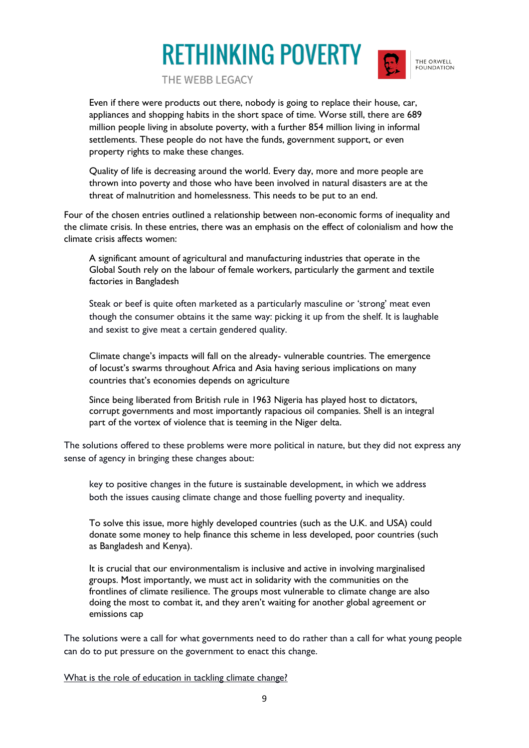

THE ORWELL FOUNDATION

THE WEBB LEGACY

Even if there were products out there, nobody is going to replace their house, car, appliances and shopping habits in the short space of time. Worse still, there are 689 million people living in absolute poverty, with a further 854 million living in informal settlements. These people do not have the funds, government support, or even property rights to make these changes.

Quality of life is decreasing around the world. Every day, more and more people are thrown into poverty and those who have been involved in natural disasters are at the threat of malnutrition and homelessness. This needs to be put to an end.

Four of the chosen entries outlined a relationship between non-economic forms of inequality and the climate crisis. In these entries, there was an emphasis on the effect of colonialism and how the climate crisis affects women:

A significant amount of agricultural and manufacturing industries that operate in the Global South rely on the labour of female workers, particularly the garment and textile factories in Bangladesh

Steak or beef is quite often marketed as a particularly masculine or 'strong' meat even though the consumer obtains it the same way: picking it up from the shelf. It is laughable and sexist to give meat a certain gendered quality.

Climate change's impacts will fall on the already- vulnerable countries. The emergence of locust's swarms throughout Africa and Asia having serious implications on many countries that's economies depends on agriculture

Since being liberated from British rule in 1963 Nigeria has played host to dictators, corrupt governments and most importantly rapacious oil companies. Shell is an integral part of the vortex of violence that is teeming in the Niger delta.

The solutions offered to these problems were more political in nature, but they did not express any sense of agency in bringing these changes about:

key to positive changes in the future is sustainable development, in which we address both the issues causing climate change and those fuelling poverty and inequality.

To solve this issue, more highly developed countries (such as the U.K. and USA) could donate some money to help finance this scheme in less developed, poor countries (such as Bangladesh and Kenya).

It is crucial that our environmentalism is inclusive and active in involving marginalised groups. Most importantly, we must act in solidarity with the communities on the frontlines of climate resilience. The groups most vulnerable to climate change are also doing the most to combat it, and they aren't waiting for another global agreement or emissions cap

The solutions were a call for what governments need to do rather than a call for what young people can do to put pressure on the government to enact this change.

What is the role of education in tackling climate change?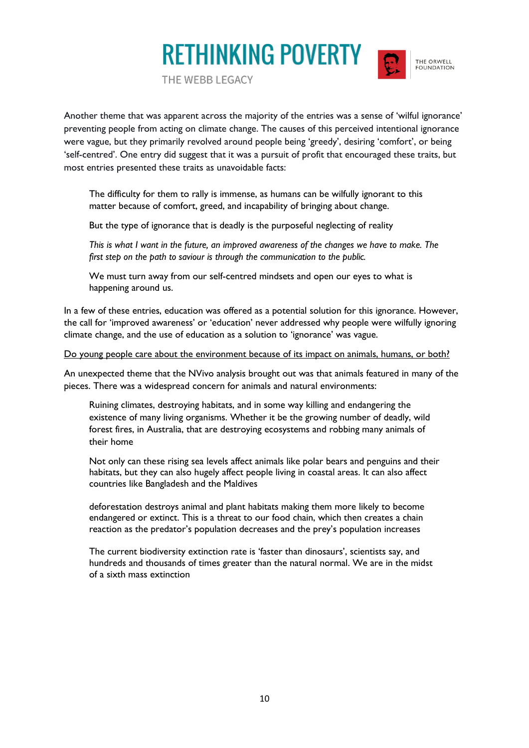

THE ORWELL FOUNDATION

THE WEBB LEGACY

Another theme that was apparent across the majority of the entries was a sense of 'wilful ignorance' preventing people from acting on climate change. The causes of this perceived intentional ignorance were vague, but they primarily revolved around people being 'greedy', desiring 'comfort', or being 'self-centred'. One entry did suggest that it was a pursuit of profit that encouraged these traits, but most entries presented these traits as unavoidable facts:

The difficulty for them to rally is immense, as humans can be wilfully ignorant to this matter because of comfort, greed, and incapability of bringing about change.

But the type of ignorance that is deadly is the purposeful neglecting of reality

*This is what I want in the future, an improved awareness of the changes we have to make. The first step on the path to saviour is through the communication to the public.*

We must turn away from our self-centred mindsets and open our eyes to what is happening around us.

In a few of these entries, education was offered as a potential solution for this ignorance. However, the call for 'improved awareness' or 'education' never addressed why people were wilfully ignoring climate change, and the use of education as a solution to 'ignorance' was vague.

Do young people care about the environment because of its impact on animals, humans, or both?

An unexpected theme that the NVivo analysis brought out was that animals featured in many of the pieces. There was a widespread concern for animals and natural environments:

Ruining climates, destroying habitats, and in some way killing and endangering the existence of many living organisms. Whether it be the growing number of deadly, wild forest fires, in Australia, that are destroying ecosystems and robbing many animals of their home

Not only can these rising sea levels affect animals like polar bears and penguins and their habitats, but they can also hugely affect people living in coastal areas. It can also affect countries like Bangladesh and the Maldives

deforestation destroys animal and plant habitats making them more likely to become endangered or extinct. This is a threat to our food chain, which then creates a chain reaction as the predator's population decreases and the prey's population increases

The current biodiversity extinction rate is 'faster than dinosaurs', scientists say, and hundreds and thousands of times greater than the natural normal. We are in the midst of a sixth mass extinction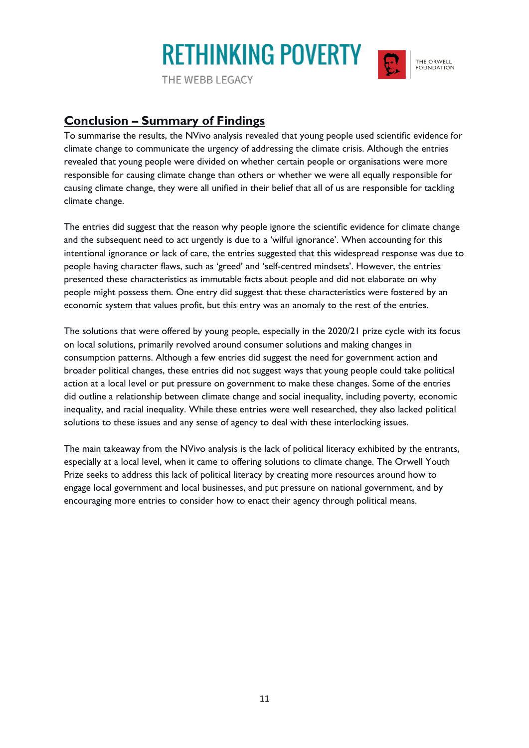THE WEBB LEGACY



### **Conclusion – Summary of Findings**

To summarise the results, the NVivo analysis revealed that young people used scientific evidence for climate change to communicate the urgency of addressing the climate crisis. Although the entries revealed that young people were divided on whether certain people or organisations were more responsible for causing climate change than others or whether we were all equally responsible for causing climate change, they were all unified in their belief that all of us are responsible for tackling climate change.

The entries did suggest that the reason why people ignore the scientific evidence for climate change and the subsequent need to act urgently is due to a 'wilful ignorance'. When accounting for this intentional ignorance or lack of care, the entries suggested that this widespread response was due to people having character flaws, such as 'greed' and 'self-centred mindsets'. However, the entries presented these characteristics as immutable facts about people and did not elaborate on why people might possess them. One entry did suggest that these characteristics were fostered by an economic system that values profit, but this entry was an anomaly to the rest of the entries.

The solutions that were offered by young people, especially in the 2020/21 prize cycle with its focus on local solutions, primarily revolved around consumer solutions and making changes in consumption patterns. Although a few entries did suggest the need for government action and broader political changes, these entries did not suggest ways that young people could take political action at a local level or put pressure on government to make these changes. Some of the entries did outline a relationship between climate change and social inequality, including poverty, economic inequality, and racial inequality. While these entries were well researched, they also lacked political solutions to these issues and any sense of agency to deal with these interlocking issues.

The main takeaway from the NVivo analysis is the lack of political literacy exhibited by the entrants, especially at a local level, when it came to offering solutions to climate change. The Orwell Youth Prize seeks to address this lack of political literacy by creating more resources around how to engage local government and local businesses, and put pressure on national government, and by encouraging more entries to consider how to enact their agency through political means.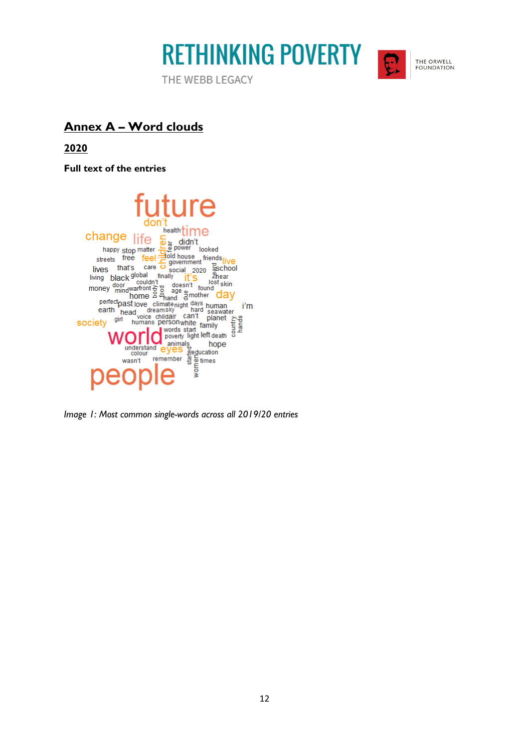

THE WEBB LEGACY



THE ORWELL FOUNDATION

### **Annex A – Word clouds**

**2020**

**Full text of the entries**



*Image 1: Most common single-words across all 2019/20 entries*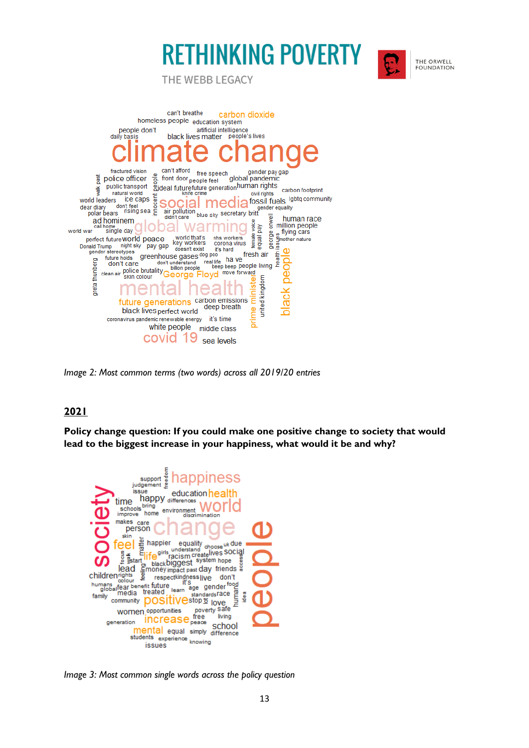



THE ORWELL FOUNDATION

THE WEBB LEGACY



*Image 2: Most common terms (two words) across all 2019/20 entries*

#### **2021**

**Policy change question: If you could make one positive change to society that would lead to the biggest increase in your happiness, what would it be and why?**



*Image 3: Most common single words across the policy question*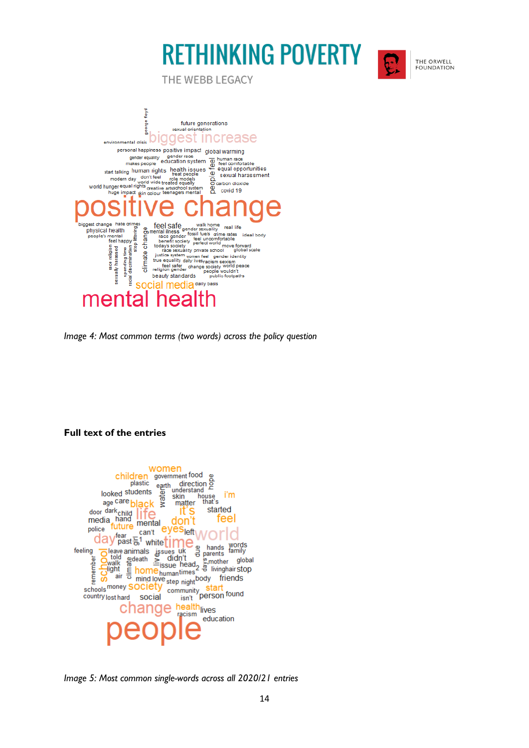

THE ORWELL FOUNDATION

THE WEBB LEGACY



*Image 4: Most common terms (two words) across the policy question*

#### **Full text of the entries**



*Image 5: Most common single-words across all 2020/21 entries*